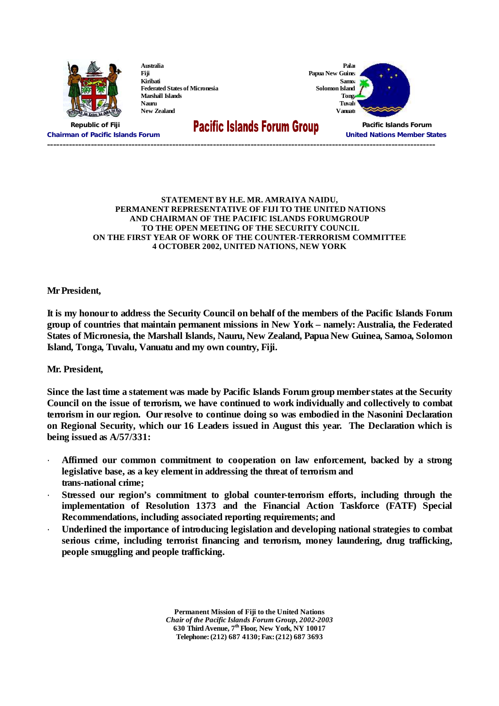

**Australia Fiji Kiribati Federated States of Micronesia Marshall Islands Nauru New Zealand**

**Solomon Island** 



**Chairman of Pacific Islands Forum United Nations Member States ----------------------------------------------------------------------------------------------------------------------------**

# **Republic of Fiji Pacific Islands Forum**

#### **STATEMENT BY H.E. MR. AMRAIYA NAIDU, PERMANENT REPRESENTATIVE OF FIJI TO THE UNITED NATIONS AND CHAIRMAN OF THE PACIFIC ISLANDS FORUMGROUP TO THE OPEN MEETING OF THE SECURITY COUNCIL ON THE FIRST YEAR OF WORK OF THE COUNTER-TERRORISM COMMITTEE 4 OCTOBER 2002, UNITED NATIONS, NEW YORK**

**Mr President,**

It is my honour to address the Security Council on behalf of the members of the Pacific Islands Forum **group of countries that maintain permanent missions in New York–namely: Australia, the Federated States of Micronesia, the Marshall Islands, Nauru, New Zealand, Papua New Guinea, Samoa, Solomon Island, Tonga, Tuvalu, Vanuatu and my own country, Fiji.**

**Mr. President,**

Since the last time a statement was made by Pacific Islands Forum group member states at the Security **Council on the issue of terrorism, we have continued to work individually and collectively to combat terrorism in our region. Our resolve to continue doing so was embodied in the Nasonini Declaration on Regional Security, which our 16 Leaders issued in August this year. The Declaration which is being issued as A/57/331:**

- · **Affirmed our common commitment to cooperation on law enforcement, backed by a strong legislative base, as a key element in addressing the threat of terrorism and trans-national crime;**
- · **Stressed our region's commitment to global counter-terrorism efforts, including through the implementation of Resolution 1373 and the Financial Action Taskforce (FATF) Special Recommendations, including associated reporting requirements; and**
- · **Underlined the importance of introducing legislation and developing national strategies to combat serious crime, including terrorist financing and terrorism, money laundering, drug trafficking, people smuggling and people trafficking.**

**Permanent Mission of Fiji to the United Nations** *Chair of the Pacific Islands Forum Group, 2002-2003* **630 Third Avenue, 7 th Floor, New York, NY 10017 Telephone: (212) 687 4130; Fax: (212) 687 3693**